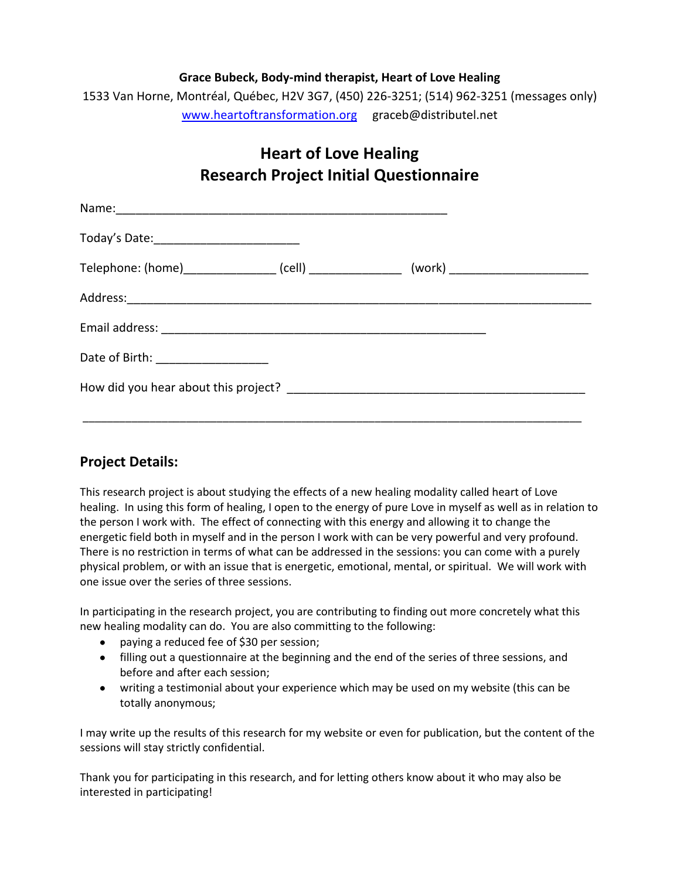## **Grace Bubeck, Body-mind therapist, Heart of Love Healing**

1533 Van Horne, Montréal, Québec, H2V 3G7, (450) 226-3251; (514) 962-3251 (messages only) [www.heartoftransformation.org](http://www.heartoftransformation.org/) graceb@distributel.net

## **Heart of Love Healing Research Project Initial Questionnaire**

| Telephone: (home)___________________(cell) ___________________(work) ______________________________ |  |  |
|-----------------------------------------------------------------------------------------------------|--|--|
|                                                                                                     |  |  |
|                                                                                                     |  |  |
| Date of Birth: ___________________                                                                  |  |  |
|                                                                                                     |  |  |
|                                                                                                     |  |  |

## **Project Details:**

This research project is about studying the effects of a new healing modality called heart of Love healing. In using this form of healing, I open to the energy of pure Love in myself as well as in relation to the person I work with. The effect of connecting with this energy and allowing it to change the energetic field both in myself and in the person I work with can be very powerful and very profound. There is no restriction in terms of what can be addressed in the sessions: you can come with a purely physical problem, or with an issue that is energetic, emotional, mental, or spiritual. We will work with one issue over the series of three sessions.

In participating in the research project, you are contributing to finding out more concretely what this new healing modality can do. You are also committing to the following:

- paying a reduced fee of \$30 per session;
- filling out a questionnaire at the beginning and the end of the series of three sessions, and before and after each session;
- writing a testimonial about your experience which may be used on my website (this can be totally anonymous;

I may write up the results of this research for my website or even for publication, but the content of the sessions will stay strictly confidential.

Thank you for participating in this research, and for letting others know about it who may also be interested in participating!